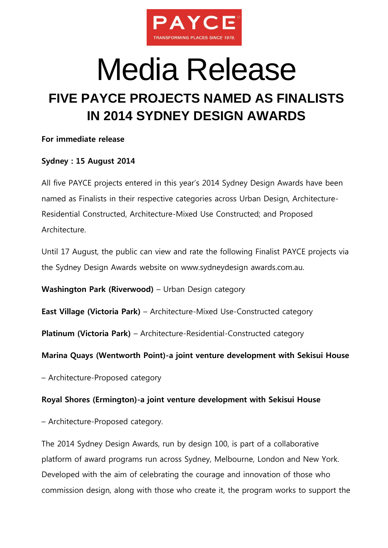

# Media Release

# **FIVE PAYCE PROJECTS NAMED AS FINALISTS IN 2014 SYDNEY DESIGN AWARDS**

### **For immediate release**

# **Sydney : 15 August 2014**

All five PAYCE projects entered in this year's 2014 Sydney Design Awards have been named as Finalists in their respective categories across Urban Design, Architecture-Residential Constructed, Architecture-Mixed Use Constructed; and Proposed Architecture.

Until 17 August, the public can view and rate the following Finalist PAYCE projects via the Sydney Design Awards website on [www.sydneydesign](http://www.sydneydesign/) awards.com.au.

**Washington Park (Riverwood)** – Urban Design category

**East Village (Victoria Park)** – Architecture-Mixed Use-Constructed category

**Platinum (Victoria Park)** – Architecture-Residential-Constructed category

**Marina Quays (Wentworth Point)-a joint venture development with Sekisui House**

– Architecture-Proposed category

## **Royal Shores (Ermington)-a joint venture development with Sekisui House**

– Architecture-Proposed category.

The 2014 Sydney Design Awards, run by design 100, is part of a collaborative platform of award programs run across Sydney, Melbourne, London and New York. Developed with the aim of celebrating the courage and innovation of those who commission design, along with those who create it, the program works to support the